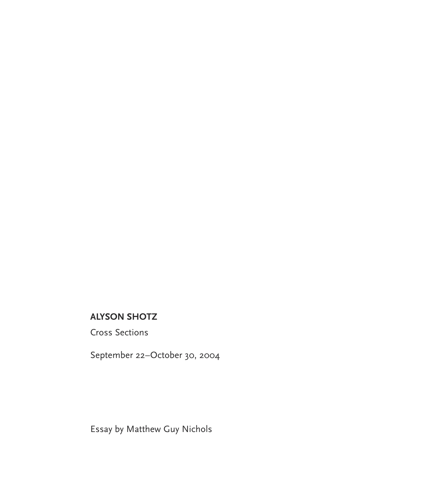## **ALYSON SHOTZ**

Cross Sections

September 22–October 30, 2004

Essay by Matthew Guy Nichols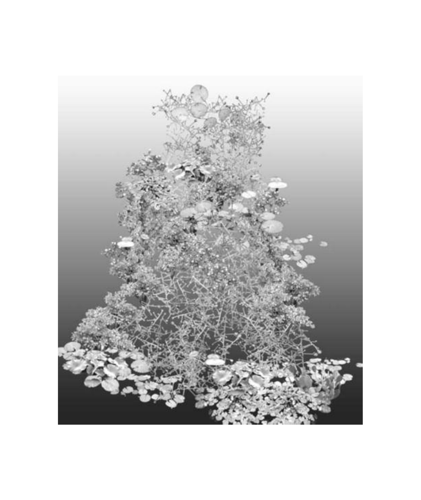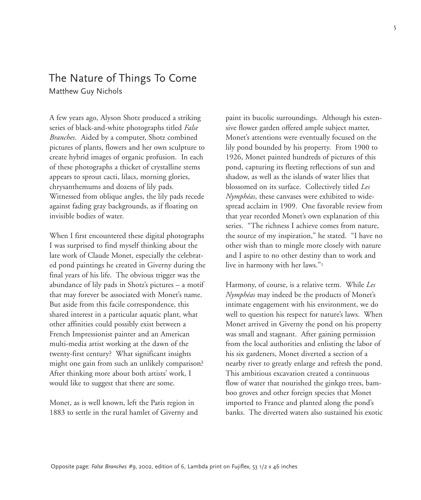## The Nature of Things To Come

Matthew Guy Nichols

A few years ago, Alyson Shotz produced a striking series of black-and-white photographs titled *False Branches*. Aided by a computer, Shotz combined pictures of plants, flowers and her own sculpture to create hybrid images of organic profusion. In each of these photographs a thicket of crystalline stems appears to sprout cacti, lilacs, morning glories, chrysanthemums and dozens of lily pads. Witnessed from oblique angles, the lily pads recede against fading gray backgrounds, as if floating on invisible bodies of water.

When I first encountered these digital photographs I was surprised to find myself thinking about the late work of Claude Monet, especially the celebrated pond paintings he created in Giverny during the final years of his life. The obvious trigger was the abundance of lily pads in Shotz's pictures – a motif that may forever be associated with Monet's name. But aside from this facile correspondence, this shared interest in a particular aquatic plant, what other affinities could possibly exist between a French Impressionist painter and an American multi-media artist working at the dawn of the twenty-first century? What significant insights might one gain from such an unlikely comparison? After thinking more about both artists' work, I would like to suggest that there are some.

Monet, as is well known, left the Paris region in 1883 to settle in the rural hamlet of Giverny and

paint its bucolic surroundings. Although his extensive flower garden offered ample subject matter, Monet's attentions were eventually focused on the lily pond bounded by his property. From 1900 to 1926, Monet painted hundreds of pictures of this pond, capturing its fleeting reflections of sun and shadow, as well as the islands of water lilies that blossomed on its surface. Collectively titled *Les Nymphéas*, these canvases were exhibited to widespread acclaim in 1909. One favorable review from that year recorded Monet's own explanation of this series. "The richness I achieve comes from nature, the source of my inspiration," he stated. "I have no other wish than to mingle more closely with nature and I aspire to no other destiny than to work and live in harmony with her laws."1

Harmony, of course, is a relative term. While *Les Nymphéas* may indeed be the products of Monet's intimate engagement with his environment, we do well to question his respect for nature's laws. When Monet arrived in Giverny the pond on his property was small and stagnant. After gaining permission from the local authorities and enlisting the labor of his six gardeners, Monet diverted a section of a nearby river to greatly enlarge and refresh the pond. This ambitious excavation created a continuous flow of water that nourished the ginkgo trees, bamboo groves and other foreign species that Monet imported to France and planted along the pond's banks. The diverted waters also sustained his exotic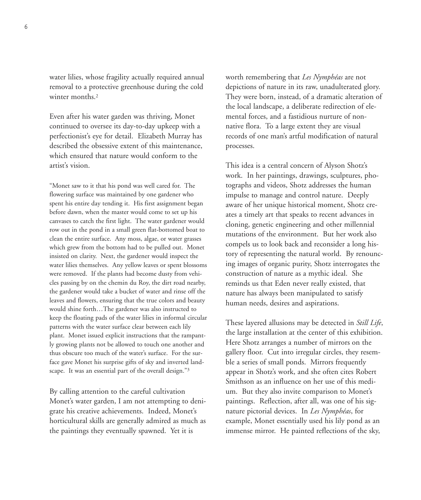water lilies, whose fragility actually required annual removal to a protective greenhouse during the cold winter months.<sup>2</sup>

Even after his water garden was thriving, Monet continued to oversee its day-to-day upkeep with a perfectionist's eye for detail. Elizabeth Murray has described the obsessive extent of this maintenance, which ensured that nature would conform to the artist's vision.

"Monet saw to it that his pond was well cared for. The flowering surface was maintained by one gardener who spent his entire day tending it. His first assignment began before dawn, when the master would come to set up his canvases to catch the first light. The water gardener would row out in the pond in a small green flat-bottomed boat to clean the entire surface. Any moss, algae, or water grasses which grew from the bottom had to be pulled out. Monet insisted on clarity. Next, the gardener would inspect the water lilies themselves. Any yellow leaves or spent blossoms were removed. If the plants had become dusty from vehicles passing by on the chemin du Roy, the dirt road nearby, the gardener would take a bucket of water and rinse off the leaves and flowers, ensuring that the true colors and beauty would shine forth…The gardener was also instructed to keep the floating pads of the water lilies in informal circular patterns with the water surface clear between each lily plant. Monet issued explicit instructions that the rampantly growing plants not be allowed to touch one another and thus obscure too much of the water's surface. For the surface gave Monet his surprise gifts of sky and inverted landscape. It was an essential part of the overall design."3

By calling attention to the careful cultivation Monet's water garden, I am not attempting to denigrate his creative achievements. Indeed, Monet's horticultural skills are generally admired as much as the paintings they eventually spawned. Yet it is

worth remembering that *Les Nymphéas* are not depictions of nature in its raw, unadulterated glory. They were born, instead, of a dramatic alteration of the local landscape, a deliberate redirection of elemental forces, and a fastidious nurture of nonnative flora. To a large extent they are visual records of one man's artful modification of natural processes.

This idea is a central concern of Alyson Shotz's work. In her paintings, drawings, sculptures, photographs and videos, Shotz addresses the human impulse to manage and control nature. Deeply aware of her unique historical moment, Shotz creates a timely art that speaks to recent advances in cloning, genetic engineering and other millennial mutations of the environment. But her work also compels us to look back and reconsider a long history of representing the natural world. By renouncing images of organic purity, Shotz interrogates the construction of nature as a mythic ideal. She reminds us that Eden never really existed, that nature has always been manipulated to satisfy human needs, desires and aspirations.

These layered allusions may be detected in *Still Life*, the large installation at the center of this exhibition. Here Shotz arranges a number of mirrors on the gallery floor. Cut into irregular circles, they resemble a series of small ponds. Mirrors frequently appear in Shotz's work, and she often cites Robert Smithson as an influence on her use of this medium. But they also invite comparison to Monet's paintings. Reflection, after all, was one of his signature pictorial devices. In *Les Nymphéas*, for example, Monet essentially used his lily pond as an immense mirror. He painted reflections of the sky,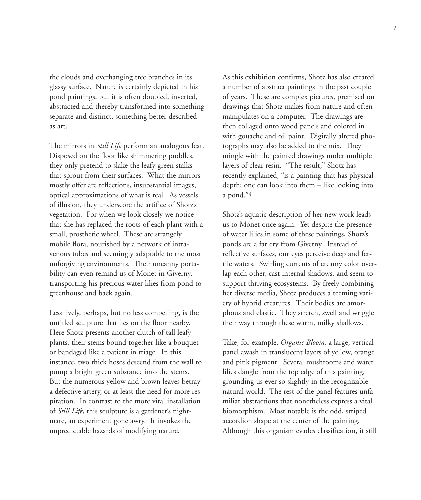the clouds and overhanging tree branches in its glassy surface. Nature is certainly depicted in his pond paintings, but it is often doubled, inverted, abstracted and thereby transformed into something separate and distinct, something better described as art.

The mirrors in *Still Life* perform an analogous feat. Disposed on the floor like shimmering puddles, they only pretend to slake the leafy green stalks that sprout from their surfaces. What the mirrors mostly offer are reflections, insubstantial images, optical approximations of what is real. As vessels of illusion, they underscore the artifice of Shotz's vegetation. For when we look closely we notice that she has replaced the roots of each plant with a small, prosthetic wheel. These are strangely mobile flora, nourished by a network of intravenous tubes and seemingly adaptable to the most unforgiving environments. Their uncanny portability can even remind us of Monet in Giverny, transporting his precious water lilies from pond to greenhouse and back again.

Less lively, perhaps, but no less compelling, is the untitled sculpture that lies on the floor nearby. Here Shotz presents another clutch of tall leafy plants, their stems bound together like a bouquet or bandaged like a patient in triage. In this instance, two thick hoses descend from the wall to pump a bright green substance into the stems. But the numerous yellow and brown leaves betray a defective artery, or at least the need for more respiration. In contrast to the more vital installation of *Still Life*, this sculpture is a gardener's nightmare, an experiment gone awry. It invokes the unpredictable hazards of modifying nature.

As this exhibition confirms, Shotz has also created a number of abstract paintings in the past couple of years. These are complex pictures, premised on drawings that Shotz makes from nature and often manipulates on a computer. The drawings are then collaged onto wood panels and colored in with gouache and oil paint. Digitally altered photographs may also be added to the mix. They mingle with the painted drawings under multiple layers of clear resin. "The result," Shotz has recently explained, "is a painting that has physical depth; one can look into them – like looking into a pond."4

Shotz's aquatic description of her new work leads us to Monet once again. Yet despite the presence of water lilies in some of these paintings, Shotz's ponds are a far cry from Giverny. Instead of reflective surfaces, our eyes perceive deep and fertile waters. Swirling currents of creamy color overlap each other, cast internal shadows, and seem to support thriving ecosystems. By freely combining her diverse media, Shotz produces a teeming variety of hybrid creatures. Their bodies are amorphous and elastic. They stretch, swell and wriggle their way through these warm, milky shallows.

Take, for example, *Organic Bloom*, a large, vertical panel awash in translucent layers of yellow, orange and pink pigment. Several mushrooms and water lilies dangle from the top edge of this painting, grounding us ever so slightly in the recognizable natural world. The rest of the panel features unfamiliar abstractions that nonetheless express a vital biomorphism. Most notable is the odd, striped accordion shape at the center of the painting. Although this organism evades classification, it still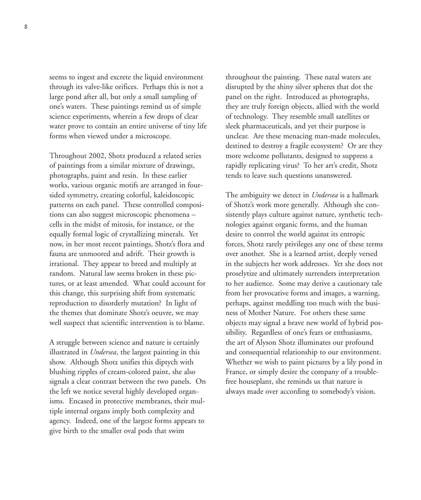seems to ingest and excrete the liquid environment through its valve-like orifices. Perhaps this is not a large pond after all, but only a small sampling of one's waters. These paintings remind us of simple science experiments, wherein a few drops of clear water prove to contain an entire universe of tiny life forms when viewed under a microscope.

Throughout 2002, Shotz produced a related series of paintings from a similar mixture of drawings, photographs, paint and resin. In these earlier works, various organic motifs are arranged in foursided symmetry, creating colorful, kaleidoscopic patterns on each panel. These controlled compositions can also suggest microscopic phenomena – cells in the midst of mitosis, for instance, or the equally formal logic of crystallizing minerals. Yet now, in her most recent paintings, Shotz's flora and fauna are unmoored and adrift. Their growth is irrational. They appear to breed and multiply at random. Natural law seems broken in these pictures, or at least amended. What could account for this change, this surprising shift from systematic reproduction to disorderly mutation? In light of the themes that dominate Shotz's oeuvre, we may well suspect that scientific intervention is to blame.

A struggle between science and nature is certainly illustrated in *Undersea*, the largest painting in this show. Although Shotz unifies this diptych with blushing ripples of cream-colored paint, she also signals a clear contrast between the two panels. On the left we notice several highly developed organisms. Encased in protective membranes, their multiple internal organs imply both complexity and agency. Indeed, one of the largest forms appears to give birth to the smaller oval pods that swim

throughout the painting. These natal waters are disrupted by the shiny silver spheres that dot the panel on the right. Introduced as photographs, they are truly foreign objects, allied with the world of technology. They resemble small satellites or sleek pharmaceuticals, and yet their purpose is unclear. Are these menacing man-made molecules, destined to destroy a fragile ecosystem? Or are they more welcome pollutants, designed to suppress a rapidly replicating virus? To her art's credit, Shotz tends to leave such questions unanswered.

The ambiguity we detect in *Undersea* is a hallmark of Shotz's work more generally. Although she consistently plays culture against nature, synthetic technologies against organic forms, and the human desire to control the world against its entropic forces, Shotz rarely privileges any one of these terms over another. She is a learned artist, deeply versed in the subjects her work addresses. Yet she does not proselytize and ultimately surrenders interpretation to her audience. Some may derive a cautionary tale from her provocative forms and images, a warning, perhaps, against meddling too much with the business of Mother Nature. For others these same objects may signal a brave new world of hybrid possibility. Regardless of one's fears or enthusiasms, the art of Alyson Shotz illuminates our profound and consequential relationship to our environment. Whether we wish to paint pictures by a lily pond in France, or simply desire the company of a troublefree houseplant, she reminds us that nature is always made over according to somebody's vision.